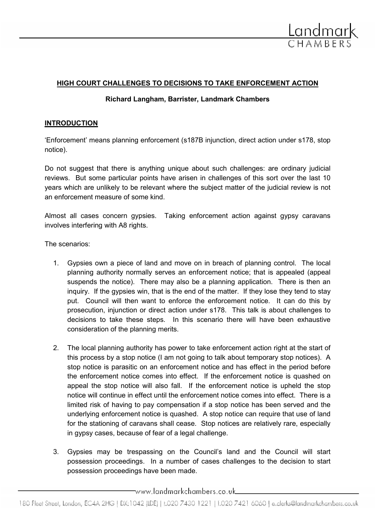

#### HIGH COURT CHALLENGES TO DECISIONS TO TAKE ENFORCEMENT ACTION

#### Richard Langham, Barrister, Landmark Chambers

#### INTRODUCTION

'Enforcement' means planning enforcement (s187B injunction, direct action under s178, stop notice).

Do not suggest that there is anything unique about such challenges: are ordinary judicial reviews. But some particular points have arisen in challenges of this sort over the last 10 years which are unlikely to be relevant where the subject matter of the judicial review is not an enforcement measure of some kind.

Almost all cases concern gypsies. Taking enforcement action against gypsy caravans involves interfering with A8 rights.

The scenarios:

- 1. Gypsies own a piece of land and move on in breach of planning control. The local planning authority normally serves an enforcement notice; that is appealed (appeal suspends the notice). There may also be a planning application. There is then an inquiry. If the gypsies win, that is the end of the matter. If they lose they tend to stay put. Council will then want to enforce the enforcement notice. It can do this by prosecution, injunction or direct action under s178. This talk is about challenges to decisions to take these steps. In this scenario there will have been exhaustive consideration of the planning merits.
- 2. The local planning authority has power to take enforcement action right at the start of this process by a stop notice (I am not going to talk about temporary stop notices). A stop notice is parasitic on an enforcement notice and has effect in the period before the enforcement notice comes into effect. If the enforcement notice is quashed on appeal the stop notice will also fall. If the enforcement notice is upheld the stop notice will continue in effect until the enforcement notice comes into effect. There is a limited risk of having to pay compensation if a stop notice has been served and the underlying enforcement notice is quashed. A stop notice can require that use of land for the stationing of caravans shall cease. Stop notices are relatively rare, especially in gypsy cases, because of fear of a legal challenge.
- 3. Gypsies may be trespassing on the Council's land and the Council will start possession proceedings. In a number of cases challenges to the decision to start possession proceedings have been made.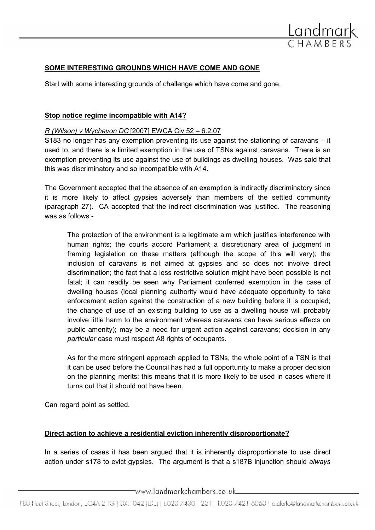

# SOME INTERESTING GROUNDS WHICH HAVE COME AND GONE

Start with some interesting grounds of challenge which have come and gone.

#### Stop notice regime incompatible with A14?

#### R (Wilson) v Wychavon DC [2007] EWCA Civ 52 – 6.2.07

S183 no longer has any exemption preventing its use against the stationing of caravans – it used to, and there is a limited exemption in the use of TSNs against caravans. There is an exemption preventing its use against the use of buildings as dwelling houses. Was said that this was discriminatory and so incompatible with A14.

The Government accepted that the absence of an exemption is indirectly discriminatory since it is more likely to affect gypsies adversely than members of the settled community (paragraph 27). CA accepted that the indirect discrimination was justified. The reasoning was as follows -

The protection of the environment is a legitimate aim which justifies interference with human rights; the courts accord Parliament a discretionary area of judgment in framing legislation on these matters (although the scope of this will vary); the inclusion of caravans is not aimed at gypsies and so does not involve direct discrimination; the fact that a less restrictive solution might have been possible is not fatal; it can readily be seen why Parliament conferred exemption in the case of dwelling houses (local planning authority would have adequate opportunity to take enforcement action against the construction of a new building before it is occupied; the change of use of an existing building to use as a dwelling house will probably involve little harm to the environment whereas caravans can have serious effects on public amenity); may be a need for urgent action against caravans; decision in any particular case must respect A8 rights of occupants.

As for the more stringent approach applied to TSNs, the whole point of a TSN is that it can be used before the Council has had a full opportunity to make a proper decision on the planning merits; this means that it is more likely to be used in cases where it turns out that it should not have been.

Can regard point as settled.

# Direct action to achieve a residential eviction inherently disproportionate?

In a series of cases it has been argued that it is inherently disproportionate to use direct action under s178 to evict gypsies. The argument is that a s187B injunction should always

www.landmarkchambers.co.uk\_\_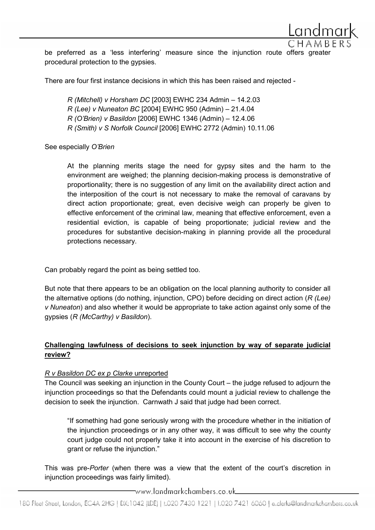be preferred as a 'less interfering' measure since the injunction route offers greater procedural protection to the gypsies.

There are four first instance decisions in which this has been raised and rejected -

R (Mitchell) v Horsham DC [2003] EWHC 234 Admin – 14.2.03 R (Lee) v Nuneaton BC [2004] EWHC 950 (Admin) – 21.4.04 R (O'Brien) v Basildon [2006] EWHC 1346 (Admin) – 12.4.06 R (Smith) v S Norfolk Council [2006] EWHC 2772 (Admin) 10.11.06

See especially O'Brien

At the planning merits stage the need for gypsy sites and the harm to the environment are weighed; the planning decision-making process is demonstrative of proportionality; there is no suggestion of any limit on the availability direct action and the interposition of the court is not necessary to make the removal of caravans by direct action proportionate; great, even decisive weigh can properly be given to effective enforcement of the criminal law, meaning that effective enforcement, even a residential eviction, is capable of being proportionate; judicial review and the procedures for substantive decision-making in planning provide all the procedural protections necessary.

Can probably regard the point as being settled too.

But note that there appears to be an obligation on the local planning authority to consider all the alternative options (do nothing, injunction, CPO) before deciding on direct action (R (Lee) v Nuneaton) and also whether it would be appropriate to take action against only some of the gypsies (R (McCarthy) v Basildon).

# Challenging lawfulness of decisions to seek injunction by way of separate judicial review?

# R v Basildon DC ex p Clarke unreported

The Council was seeking an injunction in the County Court – the judge refused to adjourn the injunction proceedings so that the Defendants could mount a judicial review to challenge the decision to seek the injunction. Carnwath J said that judge had been correct.

"If something had gone seriously wrong with the procedure whether in the initiation of the injunction proceedings or in any other way, it was difficult to see why the county court judge could not properly take it into account in the exercise of his discretion to grant or refuse the injunction."

This was pre-Porter (when there was a view that the extent of the court's discretion in injunction proceedings was fairly limited).

\_www.landmarkchambers.co.uk\_\_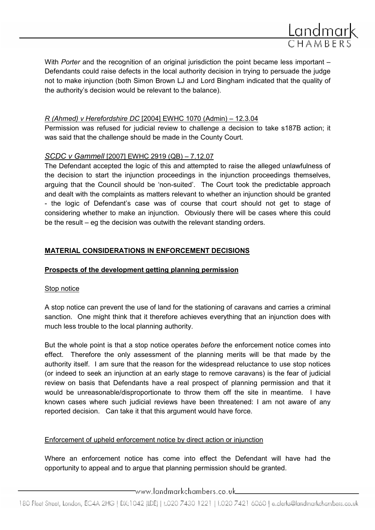

With *Porter* and the recognition of an original jurisdiction the point became less important  $-$ Defendants could raise defects in the local authority decision in trying to persuade the judge not to make injunction (both Simon Brown LJ and Lord Bingham indicated that the quality of the authority's decision would be relevant to the balance).

#### R (Ahmed) v Herefordshire DC [2004] EWHC 1070 (Admin) – 12.3.04

Permission was refused for judicial review to challenge a decision to take s187B action; it was said that the challenge should be made in the County Court.

# SCDC v Gammell [2007] EWHC 2919 (QB) – 7.12.07

The Defendant accepted the logic of this and attempted to raise the alleged unlawfulness of the decision to start the injunction proceedings in the injunction proceedings themselves, arguing that the Council should be 'non-suited'. The Court took the predictable approach and dealt with the complaints as matters relevant to whether an injunction should be granted - the logic of Defendant's case was of course that court should not get to stage of considering whether to make an injunction. Obviously there will be cases where this could be the result – eg the decision was outwith the relevant standing orders.

# MATERIAL CONSIDERATIONS IN ENFORCEMENT DECISIONS

# Prospects of the development getting planning permission

#### Stop notice

A stop notice can prevent the use of land for the stationing of caravans and carries a criminal sanction. One might think that it therefore achieves everything that an injunction does with much less trouble to the local planning authority.

But the whole point is that a stop notice operates before the enforcement notice comes into effect. Therefore the only assessment of the planning merits will be that made by the authority itself. I am sure that the reason for the widespread reluctance to use stop notices (or indeed to seek an injunction at an early stage to remove caravans) is the fear of judicial review on basis that Defendants have a real prospect of planning permission and that it would be unreasonable/disproportionate to throw them off the site in meantime. I have known cases where such judicial reviews have been threatened: I am not aware of any reported decision. Can take it that this argument would have force.

# Enforcement of upheld enforcement notice by direct action or injunction

Where an enforcement notice has come into effect the Defendant will have had the opportunity to appeal and to argue that planning permission should be granted.

 $\equiv$ www.landmarkchambers.co.uk $\equiv$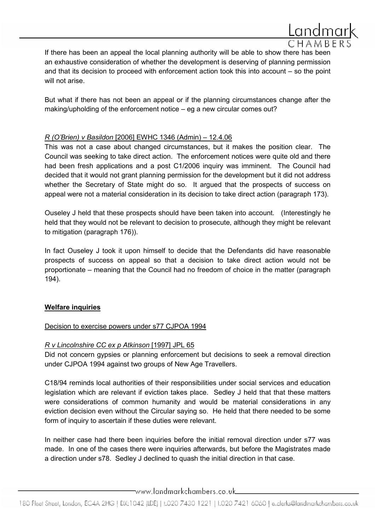

But what if there has not been an appeal or if the planning circumstances change after the making/upholding of the enforcement notice – eg a new circular comes out?

# R (O'Brien) v Basildon [2006] EWHC 1346 (Admin) – 12.4.06

This was not a case about changed circumstances, but it makes the position clear. The Council was seeking to take direct action. The enforcement notices were quite old and there had been fresh applications and a post C1/2006 inquiry was imminent. The Council had decided that it would not grant planning permission for the development but it did not address whether the Secretary of State might do so. It argued that the prospects of success on appeal were not a material consideration in its decision to take direct action (paragraph 173).

Ouseley J held that these prospects should have been taken into account. (Interestingly he held that they would not be relevant to decision to prosecute, although they might be relevant to mitigation (paragraph 176)).

In fact Ouseley J took it upon himself to decide that the Defendants did have reasonable prospects of success on appeal so that a decision to take direct action would not be proportionate – meaning that the Council had no freedom of choice in the matter (paragraph 194).

# Welfare inquiries

#### Decision to exercise powers under s77 CJPOA 1994

#### R v Lincolnshire CC ex p Atkinson [1997] JPL 65

Did not concern gypsies or planning enforcement but decisions to seek a removal direction under CJPOA 1994 against two groups of New Age Travellers.

C18/94 reminds local authorities of their responsibilities under social services and education legislation which are relevant if eviction takes place. Sedley J held that that these matters were considerations of common humanity and would be material considerations in any eviction decision even without the Circular saying so. He held that there needed to be some form of inquiry to ascertain if these duties were relevant.

In neither case had there been inquiries before the initial removal direction under s77 was made. In one of the cases there were inquiries afterwards, but before the Magistrates made a direction under s78. Sedley J declined to quash the initial direction in that case.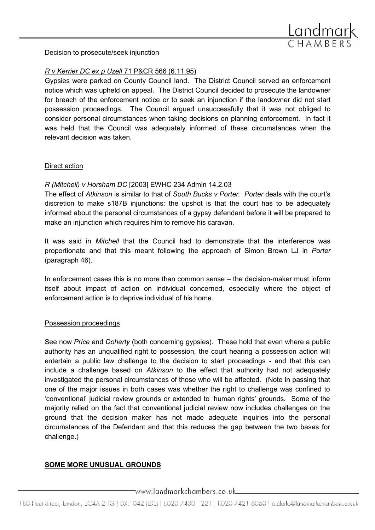

#### Decision to prosecute/seek injunction

# R v Kerrier DC ex p Uzell 71 P&CR 566 (6.11.95)

Gypsies were parked on County Council land. The District Council served an enforcement notice which was upheld on appeal. The District Council decided to prosecute the landowner for breach of the enforcement notice or to seek an injunction if the landowner did not start possession proceedings. The Council argued unsuccessfully that it was not obliged to consider personal circumstances when taking decisions on planning enforcement. In fact it was held that the Council was adequately informed of these circumstances when the relevant decision was taken.

#### Direct action

# R (Mitchell) v Horsham DC [2003] EWHC 234 Admin 14.2.03

The effect of Atkinson is similar to that of South Bucks v Porter. Porter deals with the court's discretion to make s187B injunctions: the upshot is that the court has to be adequately informed about the personal circumstances of a gypsy defendant before it will be prepared to make an injunction which requires him to remove his caravan.

It was said in Mitchell that the Council had to demonstrate that the interference was proportionate and that this meant following the approach of Simon Brown LJ in Porter (paragraph 46).

In enforcement cases this is no more than common sense – the decision-maker must inform itself about impact of action on individual concerned, especially where the object of enforcement action is to deprive individual of his home.

# Possession proceedings

See now *Price* and *Doherty* (both concerning gypsies). These hold that even where a public authority has an unqualified right to possession, the court hearing a possession action will entertain a public law challenge to the decision to start proceedings - and that this can include a challenge based on Atkinson to the effect that authority had not adequately investigated the personal circumstances of those who will be affected. (Note in passing that one of the major issues in both cases was whether the right to challenge was confined to 'conventional' judicial review grounds or extended to 'human rights' grounds. Some of the majority relied on the fact that conventional judicial review now includes challenges on the ground that the decision maker has not made adequate inquiries into the personal circumstances of the Defendant and that this reduces the gap between the two bases for challenge.)

# SOME MORE UNUSUAL GROUNDS

www.landmarkchambers.co.uk\_\_\_\_\_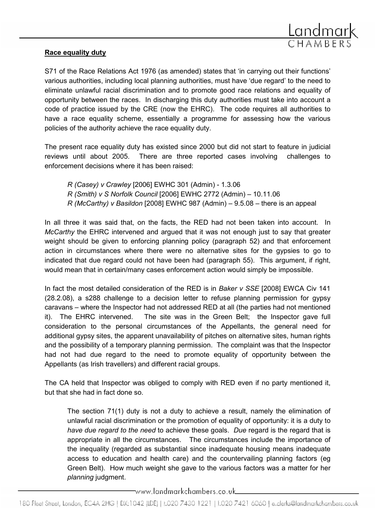

#### Race equality duty

S71 of the Race Relations Act 1976 (as amended) states that 'in carrying out their functions' various authorities, including local planning authorities, must have 'due regard' to the need to eliminate unlawful racial discrimination and to promote good race relations and equality of opportunity between the races. In discharging this duty authorities must take into account a code of practice issued by the CRE (now the EHRC). The code requires all authorities to have a race equality scheme, essentially a programme for assessing how the various policies of the authority achieve the race equality duty.

The present race equality duty has existed since 2000 but did not start to feature in judicial reviews until about 2005. There are three reported cases involving challenges to enforcement decisions where it has been raised:

R (Casey) v Crawley [2006] EWHC 301 (Admin) - 1.3.06 R (Smith) v S Norfolk Council [2006] EWHC 2772 (Admin) – 10.11.06  $R$  (McCarthy) v Basildon [2008] EWHC 987 (Admin) – 9.5.08 – there is an appeal

In all three it was said that, on the facts, the RED had not been taken into account. In McCarthy the EHRC intervened and argued that it was not enough just to say that greater weight should be given to enforcing planning policy (paragraph 52) and that enforcement action in circumstances where there were no alternative sites for the gypsies to go to indicated that due regard could not have been had (paragraph 55). This argument, if right, would mean that in certain/many cases enforcement action would simply be impossible.

In fact the most detailed consideration of the RED is in Baker v SSE [2008] EWCA Civ 141 (28.2.08), a s288 challenge to a decision letter to refuse planning permission for gypsy caravans – where the Inspector had not addressed RED at all (the parties had not mentioned it). The EHRC intervened. The site was in the Green Belt; the Inspector gave full consideration to the personal circumstances of the Appellants, the general need for additional gypsy sites, the apparent unavailability of pitches on alternative sites, human rights and the possibility of a temporary planning permission. The complaint was that the Inspector had not had due regard to the need to promote equality of opportunity between the Appellants (as Irish travellers) and different racial groups.

The CA held that Inspector was obliged to comply with RED even if no party mentioned it, but that she had in fact done so.

The section 71(1) duty is not a duty to achieve a result, namely the elimination of unlawful racial discrimination or the promotion of equality of opportunity: it is a duty to have due regard to the need to achieve these goals. Due regard is the regard that is appropriate in all the circumstances. The circumstances include the importance of the inequality (regarded as substantial since inadequate housing means inadequate access to education and health care) and the countervailing planning factors (eg Green Belt). How much weight she gave to the various factors was a matter for her planning judgment.

\_www.landmarkchambers.co.uk\_\_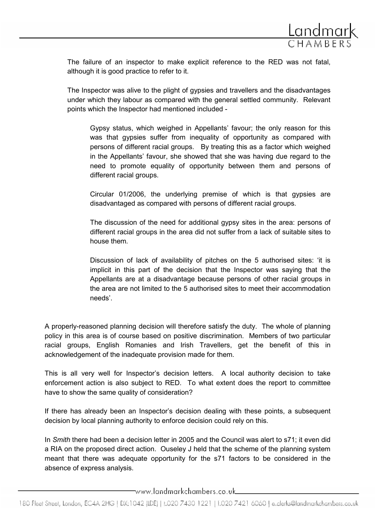

The failure of an inspector to make explicit reference to the RED was not fatal, although it is good practice to refer to it.

The Inspector was alive to the plight of gypsies and travellers and the disadvantages under which they labour as compared with the general settled community. Relevant points which the Inspector had mentioned included -

Gypsy status, which weighed in Appellants' favour; the only reason for this was that gypsies suffer from inequality of opportunity as compared with persons of different racial groups. By treating this as a factor which weighed in the Appellants' favour, she showed that she was having due regard to the need to promote equality of opportunity between them and persons of different racial groups.

Circular 01/2006, the underlying premise of which is that gypsies are disadvantaged as compared with persons of different racial groups.

The discussion of the need for additional gypsy sites in the area: persons of different racial groups in the area did not suffer from a lack of suitable sites to house them.

Discussion of lack of availability of pitches on the 5 authorised sites: 'it is implicit in this part of the decision that the Inspector was saying that the Appellants are at a disadvantage because persons of other racial groups in the area are not limited to the 5 authorised sites to meet their accommodation needs'.

A properly-reasoned planning decision will therefore satisfy the duty. The whole of planning policy in this area is of course based on positive discrimination. Members of two particular racial groups, English Romanies and Irish Travellers, get the benefit of this in acknowledgement of the inadequate provision made for them.

This is all very well for Inspector's decision letters. A local authority decision to take enforcement action is also subject to RED. To what extent does the report to committee have to show the same quality of consideration?

If there has already been an Inspector's decision dealing with these points, a subsequent decision by local planning authority to enforce decision could rely on this.

In Smith there had been a decision letter in 2005 and the Council was alert to s71; it even did a RIA on the proposed direct action. Ouseley J held that the scheme of the planning system meant that there was adequate opportunity for the s71 factors to be considered in the absence of express analysis.

www.landmarkchambers.co.uk\_\_\_\_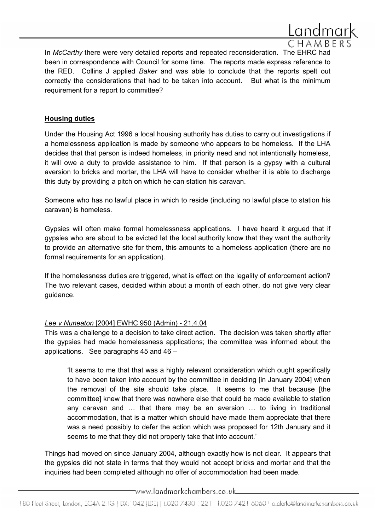

In *McCarthy* there were very detailed reports and repeated reconsideration. The EHRC had been in correspondence with Council for some time. The reports made express reference to the RED. Collins J applied Baker and was able to conclude that the reports spelt out correctly the considerations that had to be taken into account. But what is the minimum requirement for a report to committee?

#### Housing duties

Under the Housing Act 1996 a local housing authority has duties to carry out investigations if a homelessness application is made by someone who appears to be homeless. If the LHA decides that that person is indeed homeless, in priority need and not intentionally homeless, it will owe a duty to provide assistance to him. If that person is a gypsy with a cultural aversion to bricks and mortar, the LHA will have to consider whether it is able to discharge this duty by providing a pitch on which he can station his caravan.

Someone who has no lawful place in which to reside (including no lawful place to station his caravan) is homeless.

Gypsies will often make formal homelessness applications. I have heard it argued that if gypsies who are about to be evicted let the local authority know that they want the authority to provide an alternative site for them, this amounts to a homeless application (there are no formal requirements for an application).

If the homelessness duties are triggered, what is effect on the legality of enforcement action? The two relevant cases, decided within about a month of each other, do not give very clear guidance.

# Lee v Nuneaton [2004] EWHC 950 (Admin) - 21.4.04

This was a challenge to a decision to take direct action. The decision was taken shortly after the gypsies had made homelessness applications; the committee was informed about the applications. See paragraphs 45 and 46 –

'It seems to me that that was a highly relevant consideration which ought specifically to have been taken into account by the committee in deciding [in January 2004] when the removal of the site should take place. It seems to me that because [the committee] knew that there was nowhere else that could be made available to station any caravan and … that there may be an aversion … to living in traditional accommodation, that is a matter which should have made them appreciate that there was a need possibly to defer the action which was proposed for 12th January and it seems to me that they did not properly take that into account.'

Things had moved on since January 2004, although exactly how is not clear. It appears that the gypsies did not state in terms that they would not accept bricks and mortar and that the inquiries had been completed although no offer of accommodation had been made.

\_www.landmarkchambers.co.uk\_